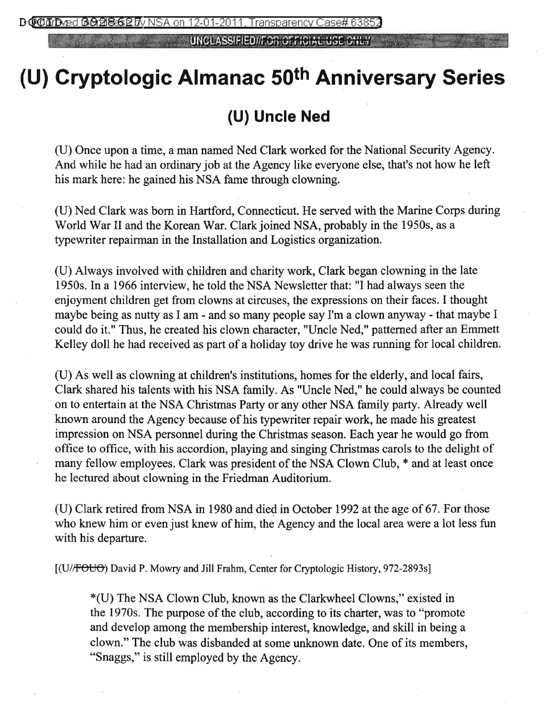**UNCLASSIFIED//FOR OFFICIAL USE ONLY** 

## **(U) Cryptologic Almanac 5Qth Anniversary Series**

## **(U) Uncle Ned**

(U) Once upon a time, a man named Ned Clark worked for the National Security Agency. And while he had an ordinary job at the Agency like everyone else, that's not how he left his mark here: he gained his NSA fame through clowning.

(U) Ned Clark was born in Hartford, Connecticut. He served with the Marine Corps during World War II and the Korean War. Clark joined NSA, probably in the 1950s, as a typewriter repairman in the Installation and Logistics organization.

(U) Always involved with children and charity work, Clark began clowning in the late 1950s. In a 1966 interview, he told the NSA Newsletter that: "I had always seen the enjoyment children get from clowns at circuses, the expressions on their faces. I thought maybe being as nutty as I am - and so many people say I'm a clown anyway - that maybe I could do it." Thus, he created his clown character, "Uncle Ned," patterned after an Emmett Kelley doll he had received as part of a holiday toy drive he was running for local children.

(U) As well as clowning at children's institutions, homes for the elderly, and local fairs, Clark shared his talents with his NSA family. As "Uncle Ned," he could always be counted on to entertain at the NSA Christmas Party or any other NSA family party. Already well known around the Agency because of his typewriter repair work, he made his greatest impression on NSA personnel during the Christmas season. Each year he would go from office to office, with his accordion, playing and singing Christmas carols to the delight of many fellow employees. Clark was president of the NSA Clown Club, \* and at least once he lectured about clowning in the Friedman Auditorium.

(U) Clark retired from NSA in 1980 and died in October 1992 at the age of 67. For those who knew him or even just knew of him, the Agency and the local area were a lot less fun with his departure.

[(U//FOUO) David P. Mowry and Jill Frahm, Center for Cryptologic History, 972-2893s]

\*(U) The NSA Clown Club, known as the Clarkwheel Clowns," existed in the 1970s. The purpose of the club, according to its charter, was to "promote and develop among the membership interest, knowledge, and skill in being a clown." The club was disbanded at some unknown date. One of its members, "Snaggs," is still employed by the Agency.